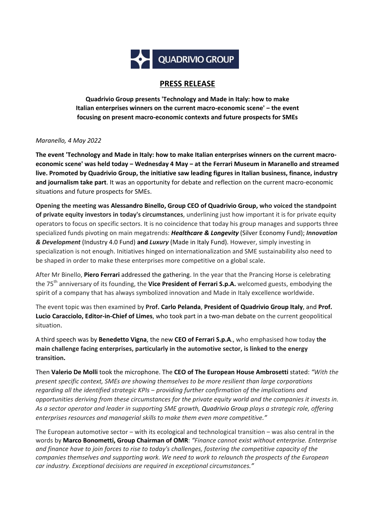

# **PRESS RELEASE**

**Quadrivio Group presents 'Technology and Made in Italy: how to make Italian enterprises winners on the current macro-economic scene' ‒ the event focusing on present macro-economic contexts and future prospects for SMEs**

# *Maranello, 4 May 2022*

**The event 'Technology and Made in Italy: how to make Italian enterprises winners on the current macroeconomic scene' was held today ‒ Wednesday 4 May ‒ at the Ferrari Museum in Maranello and streamed live. Promoted by Quadrivio Group, the initiative saw leading figures in Italian business, finance, industry and journalism take part**. It was an opportunity for debate and reflection on the current macro-economic situations and future prospects for SMEs.

**Opening the meeting was Alessandro Binello, Group CEO of Quadrivio Group, who voiced the standpoint of private equity investors in today's circumstances**, underlining just how important it is for private equity operators to focus on specific sectors. It is no coincidence that today his group manages and supports three specialized funds pivoting on main megatrends: *Healthcare & Longevity* (Silver Economy Fund); *Innovation & Development* (Industry 4.0 Fund) **and** *Luxury* (Made in Italy Fund). However, simply investing in specialization is not enough. Initiatives hinged on internationalization and SME sustainability also need to be shaped in order to make these enterprises more competitive on a global scale.

After Mr Binello, **Piero Ferrari** addressed the gathering. In the year that the Prancing Horse is celebrating the 75th anniversary of its founding, the **Vice President of Ferrari S.p.A.** welcomed guests, embodying the spirit of a company that has always symbolized innovation and Made in Italy excellence worldwide.

The event topic was then examined by **Prof. Carlo Pelanda**, **President of Quadrivio Group Italy**, and **Prof. Lucio Caracciolo, Editor-in-Chief of Limes**, who took part in a two-man debate on the current geopolitical situation.

A third speech was by **Benedetto Vigna**, the new **CEO of Ferrari S.p.A**., who emphasised how today **the main challenge facing enterprises, particularly in the automotive sector, is linked to the energy transition.**

Then **Valerio De Molli** took the microphone. The **CEO of The European House Ambrosetti** stated: *"With the present specific context, SMEs are showing themselves to be more resilient than large corporations regarding all the identified strategic KPIs ‒ providing further confirmation of the implications and opportunities deriving from these circumstances for the private equity world and the companies it invests in. As a sector operator and leader in supporting SME growth, Quadrivio Group plays a strategic role, offering enterprises resources and managerial skills to make them even more competitive."*

The European automotive sector  $-$  with its ecological and technological transition  $-$  was also central in the words by **Marco Bonometti, Group Chairman of OMR**: *"Finance cannot exist without enterprise. Enterprise and finance have to join forces to rise to today's challenges, fostering the competitive capacity of the companies themselves and supporting work. We need to work to relaunch the prospects of the European car industry. Exceptional decisions are required in exceptional circumstances."*